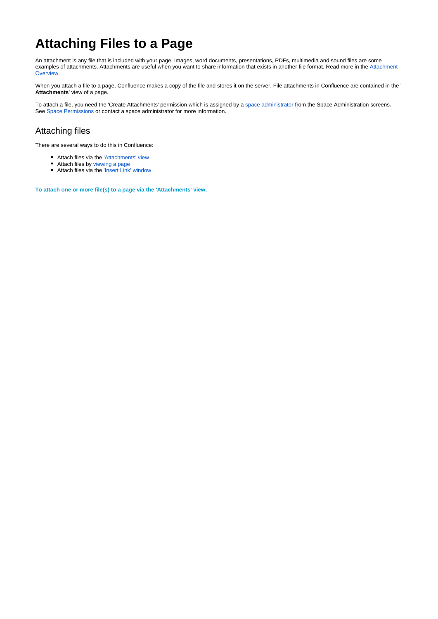## **Attaching Files to a Page**

An attachment is any file that is included with your page. Images, word documents, presentations, PDFs, multimedia and sound files are some examples of attachments. Attachments are useful when you want to share information that exists in another file format. Read more in the Attachment Overview.

When you attach a file to a page, Confluence makes a copy of the file and stores it on the server. File attachments in Confluence are contained in the ' **Attachments**' view of a page.

To attach a file, you need the 'Create Attachments' permission which is assigned by a space administrator from the Space Administration screens. See [Space Permissions](https://wikis.nyu.edu/display/DOC/Space+Permissions+Overview) or contact a space administrator for more information.

## Attaching files

There are several ways to do this in Confluence:

- Attach files via the ['Attachments' view](#page-0-0)
- Attach files by [viewing a page](#page-1-0)
- Attach files via the ['Insert Link' window](#page-1-1)

<span id="page-0-0"></span>**To attach one or more file(s) to a page via the 'Attachments' view,**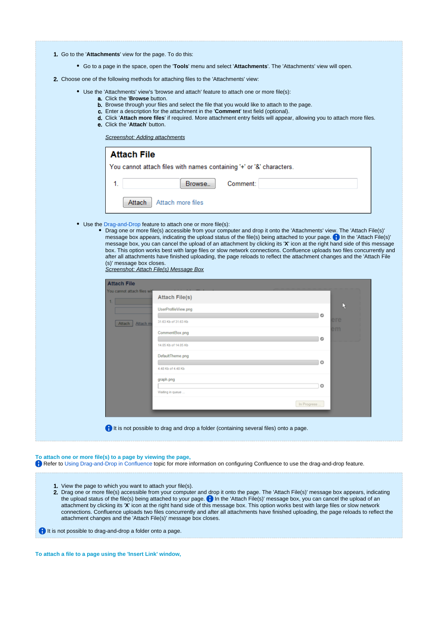- 1. Go to the '**Attachments**' view for the page. To do this:
	- Go to a page in the space, open the '**Tools**' menu and select '**Attachments**'. The 'Attachments' view will open.
- 2. Choose one of the following methods for attaching files to the 'Attachments' view:
	- Use the 'Attachments' view's 'browse and attach' feature to attach one or more file(s):
		- a. Click the '**Browse** button.
			- b. Browse through your files and select the file that you would like to attach to the page.
			- c. Enter a description for the attachment in the '**Comment**' text field (optional).
		- d. Click '**Attach more files**' if required. More attachment entry fields will appear, allowing you to attach more files.
		- e. Click the '**Attach**' button.

Screenshot: Adding attachments

| <b>Attach File</b> |                   |                                                                      |  |
|--------------------|-------------------|----------------------------------------------------------------------|--|
|                    |                   | You cannot attach files with names containing '+' or '&' characters. |  |
|                    | Browse            | Comment:                                                             |  |
| Attach             | Attach more files |                                                                      |  |

- Use the [Drag-and-Drop](https://wikis.nyu.edu/display/DOC/Using+Drag-and-Drop+in+Confluence) feature to attach one or more file(s):
	- Drag one or more file(s) accessible from your computer and drop it onto the 'Attachments' view. The 'Attach File(s)' message box appears, indicating the upload status of the file(s) being attached to your page. **In** the 'Attach File(s)' message box, you can cancel the upload of an attachment by clicking its '**X**' icon at the right hand side of this message box. This option works best with large files or slow network connections. Confluence uploads two files concurrently and after all attachments have finished uploading, the page reloads to reflect the attachment changes and the 'Attach File (s)' message box closes. Screenshot: Attach File(s) Message Box

|                     | <b>Attach File(s)</b> |             |     |
|---------------------|-----------------------|-------------|-----|
| Attach mi<br>Attach | UserProfileView.png   |             | LЗ  |
|                     | 31.63 Kb of 31.63 Kb  | O           | ere |
|                     | CommentBox.png        |             | em  |
|                     | 14.05 Kb of 14.05 Kb  | o           |     |
|                     | DefaultTheme.png      |             |     |
|                     | 4.48 Kb of 4.48 Kb    | O           |     |
|                     | graph.png             |             |     |
|                     | Waiting in queue      | O           |     |
|                     |                       | In Progress |     |
|                     |                       |             |     |

<span id="page-1-0"></span>**To attach one or more file(s) to a page by viewing the page,** Refer to [Using Drag-and-Drop in Confluence](https://wikis.nyu.edu/display/DOC/Using+Drag-and-Drop+in+Confluence) topic for more information on configuring Confluence to use the drag-and-drop feature.

- 1. View the page to which you want to attach your file(s).
- 2. Drag one or more file(s) accessible from your computer and drop it onto the page. The 'Attach File(s)' message box appears, indicating the upload status of the file(s) being attached to your page. **i**) In the 'Attach File(s)' message box, you can cancel the upload of an attachment by clicking its '**X**' icon at the right hand side of this message box. This option works best with large files or slow network connections. Confluence uploads two files concurrently and after all attachments have finished uploading, the page reloads to reflect the attachment changes and the 'Attach File(s)' message box closes.

**f** It is not possible to drag-and-drop a folder onto a page.

<span id="page-1-1"></span>**To attach a file to a page using the 'Insert Link' window,**